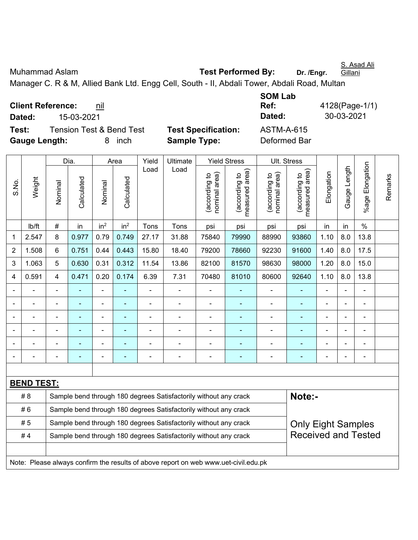| Muhammad Aslam                  | <b>Test Performed By:</b>                                                                   | Gillani<br>Dr. /Enar. |
|---------------------------------|---------------------------------------------------------------------------------------------|-----------------------|
|                                 | Manager C. R & M, Allied Bank Ltd. Engg Cell, South - II, Abdali Tower, Abdali Road, Multan |                       |
|                                 | <b>SOM Lab</b>                                                                              |                       |
| <b>Client Reference:</b><br>nil | Ref:                                                                                        | 4128(Page-1/1)        |

**Client Reference:** nil

**Dated:** 15-03-2021 **Dated:** 30-03-2021

**Test:** Tension Test & Bend Test **Test Specification:** ASTM-A-615 **Gauge Length:** 8 inch **Sample Type:** Deformed Bar

|                |                                                                                     |                | Dia.           |                          | Area            | Yield          | Ultimate                                                         |                                | <b>Yield Stress</b>             |                                | Ult. Stress                     |                |                |                      |         |
|----------------|-------------------------------------------------------------------------------------|----------------|----------------|--------------------------|-----------------|----------------|------------------------------------------------------------------|--------------------------------|---------------------------------|--------------------------------|---------------------------------|----------------|----------------|----------------------|---------|
| S.No.          | Weight                                                                              | Nominal        | Calculated     | Nominal                  | Calculated      | Load           | Load                                                             | nominal area)<br>(according to | (according to<br>measured area) | nominal area)<br>(according to | (according to<br>measured area) | Elongation     | Gauge Length   | Elongation<br>%age l | Remarks |
|                | lb/ft                                                                               | $\#$           | in             | in <sup>2</sup>          | in <sup>2</sup> | Tons           | Tons                                                             | psi                            | psi                             | psi                            | psi                             | in             | in             | $\frac{0}{0}$        |         |
| 1              | 2.547                                                                               | 8              | 0.977          | 0.79                     | 0.749           | 27.17          | 31.88                                                            | 75840                          | 79990                           | 88990                          | 93860                           | 1.10           | 8.0            | 13.8                 |         |
| $\overline{2}$ | 1.508                                                                               | 6              | 0.751          | 0.44                     | 0.443           | 15.80          | 18.40                                                            | 79200                          | 78660                           | 92230                          | 91600                           | 1.40           | 8.0            | 17.5                 |         |
| 3              | 1.063                                                                               | 5              | 0.630          | 0.31                     | 0.312           | 11.54          | 13.86                                                            | 82100                          | 81570                           | 98630                          | 98000                           | 1.20           | 8.0            | 15.0                 |         |
| 4              | 0.591                                                                               | $\overline{4}$ | 0.471          | 0.20                     | 0.174           | 6.39           | 7.31                                                             | 70480                          | 81010                           | 80600                          | 92640                           | 1.10           | 8.0            | 13.8                 |         |
|                |                                                                                     | $\blacksquare$ |                | ÷,                       |                 | ä,             | $\blacksquare$                                                   | $\blacksquare$                 | $\blacksquare$                  | $\overline{a}$                 | ÷,                              | L,             | $\blacksquare$ | $\blacksquare$       |         |
|                | ä,                                                                                  | $\blacksquare$ | ä,             | $\overline{\phantom{0}}$ |                 | ÷              | ÷                                                                | $\blacksquare$                 | $\blacksquare$                  | $\overline{a}$                 | ÷,                              | Ē,             |                | $\blacksquare$       |         |
|                |                                                                                     |                | ÷,             | ÷,                       | $\blacksquare$  | $\blacksquare$ | $\blacksquare$                                                   | $\blacksquare$                 | ٠                               | $\blacksquare$                 | $\blacksquare$                  | $\blacksquare$ |                | $\blacksquare$       |         |
|                |                                                                                     |                | $\overline{a}$ | ÷                        |                 |                |                                                                  | ÷                              |                                 |                                |                                 |                |                | $\blacksquare$       |         |
|                |                                                                                     |                |                | -                        |                 |                |                                                                  |                                |                                 |                                |                                 |                |                |                      |         |
|                |                                                                                     |                | ۰              |                          |                 |                | Ē,                                                               | $\blacksquare$                 | ۰                               | $\overline{\phantom{a}}$       | $\blacksquare$                  |                | Ē,             | $\overline{a}$       |         |
|                |                                                                                     |                |                |                          |                 |                |                                                                  |                                |                                 |                                |                                 |                |                |                      |         |
|                | <b>BEND TEST:</b>                                                                   |                |                |                          |                 |                |                                                                  |                                |                                 |                                |                                 |                |                |                      |         |
|                | # 8                                                                                 |                |                |                          |                 |                | Sample bend through 180 degrees Satisfactorily without any crack |                                |                                 |                                | Note:-                          |                |                |                      |         |
|                | #6                                                                                  |                |                |                          |                 |                | Sample bend through 180 degrees Satisfactorily without any crack |                                |                                 |                                |                                 |                |                |                      |         |
|                | #5                                                                                  |                |                |                          |                 |                | Sample bend through 180 degrees Satisfactorily without any crack |                                |                                 |                                | <b>Only Eight Samples</b>       |                |                |                      |         |
|                | #4                                                                                  |                |                |                          |                 |                | Sample bend through 180 degrees Satisfactorily without any crack |                                |                                 |                                | <b>Received and Tested</b>      |                |                |                      |         |
|                |                                                                                     |                |                |                          |                 |                |                                                                  |                                |                                 |                                |                                 |                |                |                      |         |
|                | Note: Please always confirm the results of above report on web www.uet-civil.edu.pk |                |                |                          |                 |                |                                                                  |                                |                                 |                                |                                 |                |                |                      |         |

S. Asad Ali

**Ref:** 4128(Page-1/1)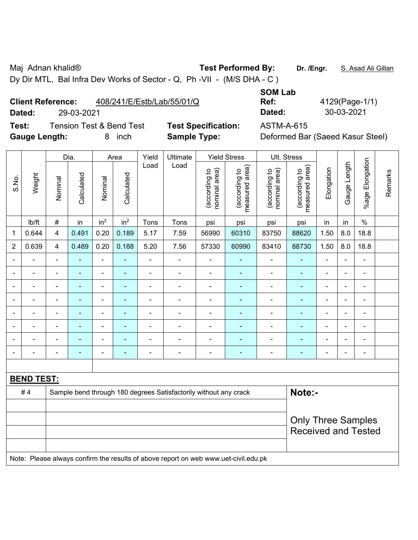Maj Adnan khalid® **Test Performed By:** Dr. /Engr. **S. Asad Ali Gillan** 

Dy Dir MTL, Bal Infra Dev Works of Sector - Q, Ph -VII - (M/S DHA - C )

## **Client Reference:** 408/241/E/Estb/Lab/55/01/Q

**Test:** Tension Test & Bend Test **Test Specification:** ASTM-A-615 **Gauge Length:** 8 inch **Sample Type:** Deformed Bar (Saeed Kasur Steel)

**SOM Lab Ref:** 4129(Page-1/1) **Dated:** 29-03-2021 **Dated:** 30-03-2021

|                          |                                                                                     |                | Dia.           |                          | Area            | Yield          | Ultimate                                                         |                                | <b>Yield Stress</b>             |                                | Ult. Stress                     |                |                |                 |         |
|--------------------------|-------------------------------------------------------------------------------------|----------------|----------------|--------------------------|-----------------|----------------|------------------------------------------------------------------|--------------------------------|---------------------------------|--------------------------------|---------------------------------|----------------|----------------|-----------------|---------|
| S.No.                    | Weight                                                                              | Nominal        | Calculated     | Nominal                  | Calculated      | Load           | Load                                                             | (according to<br>nominal area) | measured area)<br>(according to | (according to<br>nominal area) | measured area)<br>(according to | Elongation     | Gauge Length   | %age Elongation | Remarks |
|                          | lb/ft                                                                               | $\#$           | in             | in <sup>2</sup>          | in <sup>2</sup> | Tons           | Tons                                                             | psi                            | psi                             | psi                            | psi                             | in             | in             | $\%$            |         |
| 1                        | 0.644                                                                               | 4              | 0.491          | 0.20                     | 0.189           | 5.17           | 7.59                                                             | 56990                          | 60310                           | 83750                          | 88620                           | 1.50           | 8.0            | 18.8            |         |
| $\overline{2}$           | 0.639                                                                               | 4              | 0.489          | 0.20                     | 0.188           | 5.20           | 7.56                                                             | 57330                          | 60990                           | 83410                          | 88730                           | 1.50           | 8.0            | 18.8            |         |
|                          |                                                                                     |                |                | $\overline{a}$           |                 | L.             |                                                                  |                                |                                 | ÷                              | $\blacksquare$                  |                | $\overline{a}$ | $\blacksquare$  |         |
| ۰                        |                                                                                     |                |                | ÷                        |                 |                | $\blacksquare$                                                   |                                |                                 | ÷                              | Ē,                              | ٠              | $\blacksquare$ | $\blacksquare$  |         |
| $\overline{\phantom{a}}$ |                                                                                     | $\blacksquare$ | $\blacksquare$ | $\overline{\phantom{a}}$ |                 | $\blacksquare$ | $\blacksquare$                                                   | $\blacksquare$                 |                                 | -                              | $\blacksquare$                  | $\blacksquare$ | $\blacksquare$ | $\blacksquare$  |         |
| $\blacksquare$           |                                                                                     | $\blacksquare$ | $\blacksquare$ | ÷                        | $\blacksquare$  | L.             | $\blacksquare$                                                   | ÷                              | $\overline{\phantom{a}}$        | $\blacksquare$                 | $\blacksquare$                  | $\blacksquare$ | ÷,             | $\blacksquare$  |         |
| $\overline{\phantom{a}}$ |                                                                                     | ÷,             | $\blacksquare$ | $\overline{\phantom{a}}$ | ×,              | Ē,             | ÷,                                                               | $\blacksquare$                 | $\overline{\phantom{a}}$        | ÷                              | ÷,                              | $\blacksquare$ | ÷,             | $\blacksquare$  |         |
|                          |                                                                                     | $\blacksquare$ |                | $\overline{\phantom{a}}$ | ٠               | ä,             | $\blacksquare$                                                   | $\blacksquare$                 |                                 | ÷                              | ÷,                              | $\blacksquare$ | ÷,             | $\blacksquare$  |         |
|                          |                                                                                     |                | $\blacksquare$ | $\blacksquare$           |                 |                | $\blacksquare$                                                   |                                | $\overline{\phantom{0}}$        | $\blacksquare$                 | $\overline{\phantom{a}}$        |                |                | $\blacksquare$  |         |
| ۰                        |                                                                                     |                |                |                          |                 | ÷              | $\blacksquare$                                                   |                                |                                 | ÷                              |                                 | ÷              | $\blacksquare$ | Ē,              |         |
|                          |                                                                                     |                |                |                          |                 |                |                                                                  |                                |                                 |                                |                                 |                |                |                 |         |
|                          | <b>BEND TEST:</b>                                                                   |                |                |                          |                 |                |                                                                  |                                |                                 |                                |                                 |                |                |                 |         |
|                          | #4                                                                                  |                |                |                          |                 |                | Sample bend through 180 degrees Satisfactorily without any crack |                                |                                 |                                | Note:-                          |                |                |                 |         |
|                          |                                                                                     |                |                |                          |                 |                |                                                                  |                                |                                 |                                |                                 |                |                |                 |         |
|                          |                                                                                     |                |                |                          |                 |                |                                                                  |                                |                                 |                                | <b>Only Three Samples</b>       |                |                |                 |         |
|                          |                                                                                     |                |                |                          |                 |                |                                                                  |                                |                                 |                                | <b>Received and Tested</b>      |                |                |                 |         |
|                          |                                                                                     |                |                |                          |                 |                |                                                                  |                                |                                 |                                |                                 |                |                |                 |         |
|                          | Note: Please always confirm the results of above report on web www.uet-civil.edu.pk |                |                |                          |                 |                |                                                                  |                                |                                 |                                |                                 |                |                |                 |         |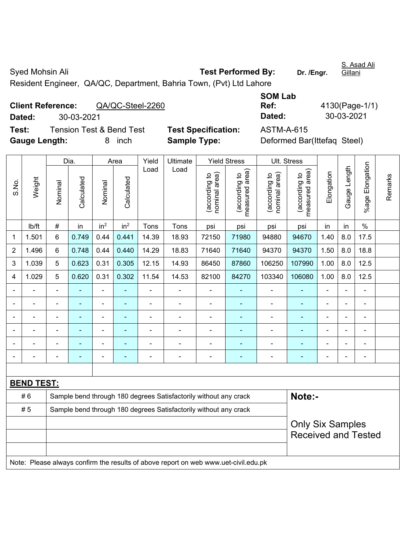Syed Mohsin Ali **Test Performed By:** Dr. /Engr. S. Asad Ali Gillani Resident Engineer, QA/QC, Department, Bahria Town, (Pvt) Ltd Lahore

|                             | <b>Client Reference:</b><br>QA/QC-Steel-2260 |                            | Ref:       | 4130(Page-1/   |
|-----------------------------|----------------------------------------------|----------------------------|------------|----------------|
| Dated:                      | 30-03-2021                                   |                            | Dated:     | 30-03-2021     |
| Test:                       | <b>Tension Test &amp; Bend Test</b>          | <b>Test Specification:</b> | ASTM-A-615 |                |
| $\sim$ $\sim$ $\sim$ $\sim$ |                                              | - - -                      |            | $\blacksquare$ |

| <b>SOM Lab</b> |                |
|----------------|----------------|
| Ref:           | 4130(Page-1/1) |
| Dated:         | 30-03-2021     |
|                |                |

**Test Specification:** ASTM-A-615 **Gauge Length:** 8 inch **Sample Type:** Deformed Bar(Ittefaq Steel)

|                |                                                                                     |                                                                  | Dia.           |                              | Area            | Yield              | Ultimate                                                         |                                | <b>Yield Stress</b>             | Ult. Stress                    |                                 |            |                |                              |         |
|----------------|-------------------------------------------------------------------------------------|------------------------------------------------------------------|----------------|------------------------------|-----------------|--------------------|------------------------------------------------------------------|--------------------------------|---------------------------------|--------------------------------|---------------------------------|------------|----------------|------------------------------|---------|
| S.No.          | Weight                                                                              | Nominal                                                          | Calculated     | Nominal                      | Calculated      | Load               | Load                                                             | nominal area)<br>(according to | (according to<br>measured area) | nominal area)<br>(according to | (according to<br>measured area) | Elongation | Gauge Length   | Elongation<br>%agel          | Remarks |
|                | Ib/ft                                                                               | $\#$                                                             | in             | in <sup>2</sup>              | in <sup>2</sup> | Tons               | Tons                                                             | psi                            | psi                             | psi                            | psi                             | in         | in             | $\frac{0}{0}$                |         |
| 1              | 1.501                                                                               | 6                                                                | 0.749          | 0.44                         | 0.441           | 14.39              | 18.93                                                            | 72150                          | 71980                           | 94880                          | 94670                           | 1.40       | 8.0            | 17.5                         |         |
| 2              | 1.496                                                                               | 6                                                                | 0.748          | 0.44                         | 0.440           | 14.29              | 18.83                                                            | 71640                          | 71640                           | 94370                          | 94370                           | 1.50       | 8.0            | 18.8                         |         |
| 3              | 1.039                                                                               | 5                                                                | 0.623          | 0.31                         | 0.305           | 12.15              | 14.93                                                            | 86450                          | 87860                           | 106250                         | 107990                          | 1.00       | 8.0            | 12.5                         |         |
| 4              | 1.029                                                                               | 5                                                                | 0.620          | 0.31                         | 0.302           | 11.54              | 14.53                                                            | 82100                          | 84270                           | 103340                         | 106080                          | 1.00       | 8.0            | 12.5                         |         |
|                |                                                                                     |                                                                  |                | $\blacksquare$               |                 |                    |                                                                  |                                |                                 |                                |                                 |            |                |                              |         |
|                |                                                                                     |                                                                  |                | ÷                            |                 | ÷<br>L,<br>ä,<br>÷ |                                                                  |                                |                                 |                                |                                 |            |                |                              |         |
| $\blacksquare$ |                                                                                     | $\blacksquare$                                                   | ÷              | $\blacksquare$               |                 | $\blacksquare$     | $\blacksquare$                                                   | $\blacksquare$                 | ۰                               | $\blacksquare$                 | ÷                               | Ē,         | $\blacksquare$ | $\blacksquare$               |         |
|                |                                                                                     | $\blacksquare$                                                   | ÷              | ÷                            |                 | -                  | ÷                                                                | $\blacksquare$                 | ۰                               | $\blacksquare$                 | $\overline{a}$                  | ÷          |                | $\blacksquare$               |         |
|                |                                                                                     | L,                                                               | ÷,             | $\qquad \qquad \blacksquare$ |                 | ä,                 | ä,                                                               | L,                             | ۰                               | $\blacksquare$                 | ٠                               | L,         |                | ä,                           |         |
|                |                                                                                     | ÷                                                                | $\blacksquare$ | $\blacksquare$               | ä,              | $\overline{a}$     | ÷                                                                | $\overline{a}$                 | ÷                               | ÷                              | ÷                               | Ē,         |                | $\qquad \qquad \blacksquare$ |         |
|                |                                                                                     |                                                                  |                |                              |                 |                    |                                                                  |                                |                                 |                                |                                 |            |                |                              |         |
|                | <b>BEND TEST:</b>                                                                   |                                                                  |                |                              |                 |                    |                                                                  |                                |                                 |                                |                                 |            |                |                              |         |
|                | #6                                                                                  |                                                                  |                |                              |                 |                    | Sample bend through 180 degrees Satisfactorily without any crack |                                |                                 |                                | Note:-                          |            |                |                              |         |
|                | #5                                                                                  | Sample bend through 180 degrees Satisfactorily without any crack |                |                              |                 |                    |                                                                  |                                |                                 |                                |                                 |            |                |                              |         |
|                |                                                                                     | <b>Only Six Samples</b>                                          |                |                              |                 |                    |                                                                  |                                |                                 |                                |                                 |            |                |                              |         |
|                |                                                                                     |                                                                  |                |                              |                 |                    |                                                                  |                                |                                 |                                | <b>Received and Tested</b>      |            |                |                              |         |
|                |                                                                                     |                                                                  |                |                              |                 |                    |                                                                  |                                |                                 |                                |                                 |            |                |                              |         |
|                | Note: Please always confirm the results of above report on web www.uet-civil.edu.pk |                                                                  |                |                              |                 |                    |                                                                  |                                |                                 |                                |                                 |            |                |                              |         |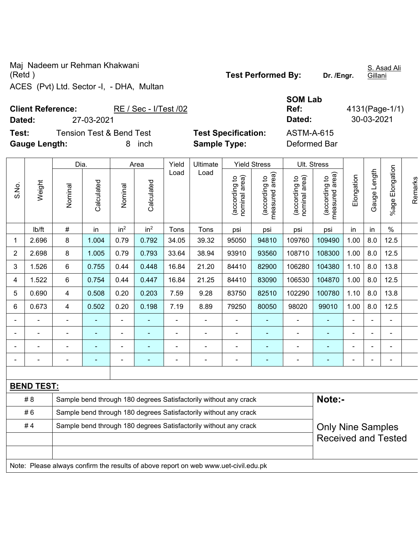Maj Nadeem ur Rehman Khakwani (Retd ) **Test Performed By: Dr. /Engr.**  ACES (Pvt) Ltd. Sector -I, - DHA, Multan

S. Asad Ali **Gillani** 

Client Reference: RE / Sec - I/Test /02 **Dated:** 27-03-2021 **Dated:** 30-03-2021 **Test:** Tension Test & Bend Test **Test Specification:** ASTM-A-615 **Gauge Length:** 8 inch **Sample Type:** Deformed Bar

|       |                   | Dia.                                                             |                |                          | Area            | Yield                    | <b>Ultimate</b>                                                                     |                                | <b>Yield Stress</b>             |                                | Ult. Stress                                 |                |                          |                      |         |
|-------|-------------------|------------------------------------------------------------------|----------------|--------------------------|-----------------|--------------------------|-------------------------------------------------------------------------------------|--------------------------------|---------------------------------|--------------------------------|---------------------------------------------|----------------|--------------------------|----------------------|---------|
| S.No. | Weight            | Nominal                                                          | Calculated     | Nominal                  | Calculated      | Load                     | Load                                                                                | nominal area)<br>(according to | measured area)<br>(according to | (according to<br>nominal area) | (according to<br>neasured area)<br>measured | Elongation     | Gauge Length             | Elongation<br>%age l | Remarks |
|       | Ib/ft             | $\#$                                                             | in             | in <sup>2</sup>          | in <sup>2</sup> | Tons                     | Tons                                                                                | psi                            | psi                             | psi                            | psi                                         | in             | in                       | $\%$                 |         |
| 1     | 2.696             | 8                                                                | 1.004          | 0.79                     | 0.792           | 34.05                    | 39.32                                                                               | 95050                          | 94810                           | 109760                         | 109490                                      | 1.00           | 8.0                      | 12.5                 |         |
| 2     | 2.698             | 8                                                                | 1.005          | 0.79                     | 0.793           | 33.64                    | 38.94                                                                               | 93910                          | 93560                           | 108710                         | 108300                                      | 1.00           | 8.0                      | 12.5                 |         |
| 3     | 1.526             | 6                                                                | 0.755          | 0.44                     | 0.448           | 16.84                    | 21.20                                                                               | 84410                          | 82900                           | 106280                         | 104380                                      | 1.10           | 8.0                      | 13.8                 |         |
| 4     | 1.522             | 6                                                                | 0.754          | 0.44                     | 0.447           | 16.84                    | 21.25                                                                               | 84410                          | 83090                           | 106530                         | 104870                                      | 1.00           | 8.0                      | 12.5                 |         |
| 5     | 0.690             | $\overline{\mathbf{4}}$                                          | 0.508          | 0.20                     | 0.203           | 7.59                     | 9.28                                                                                | 83750                          | 82510                           | 102290                         | 100780                                      | 1.10           | 8.0                      | 13.8                 |         |
| 6     | 0.673             | 4                                                                | 0.502          | 0.20                     | 0.198           | 7.19                     | 8.89                                                                                | 79250                          | 80050                           | 98020                          | 99010                                       | 1.00           | 8.0                      | 12.5                 |         |
|       |                   | $\overline{\phantom{a}}$                                         | ٠              | $\overline{\phantom{a}}$ |                 | $\overline{\phantom{a}}$ | $\overline{a}$                                                                      | $\blacksquare$                 | ÷                               |                                |                                             | $\blacksquare$ | $\overline{\phantom{a}}$ | ۰                    |         |
|       |                   | $\overline{\phantom{a}}$                                         | $\blacksquare$ | $\blacksquare$           | $\blacksquare$  | $\blacksquare$           | $\overline{a}$                                                                      | $\overline{\phantom{a}}$       | $\blacksquare$                  | $\blacksquare$                 | $\blacksquare$                              | $\blacksquare$ | $\overline{\phantom{a}}$ | ۰                    |         |
|       |                   |                                                                  | ٠              |                          | $\blacksquare$  | $\blacksquare$           | $\blacksquare$                                                                      | $\blacksquare$                 | $\blacksquare$                  |                                | $\blacksquare$                              |                | L,                       | ۰                    |         |
|       |                   | $\blacksquare$                                                   |                |                          |                 | $\blacksquare$           |                                                                                     | ÷                              | ۰                               |                                |                                             |                |                          |                      |         |
|       |                   |                                                                  |                |                          |                 |                          |                                                                                     |                                |                                 |                                |                                             |                |                          |                      |         |
|       | <b>BEND TEST:</b> |                                                                  |                |                          |                 |                          |                                                                                     |                                |                                 |                                |                                             |                |                          |                      |         |
|       | #8                |                                                                  |                |                          |                 |                          | Sample bend through 180 degrees Satisfactorily without any crack                    |                                |                                 |                                | Note:-                                      |                |                          |                      |         |
|       | #6                | Sample bend through 180 degrees Satisfactorily without any crack |                |                          |                 |                          |                                                                                     |                                |                                 |                                |                                             |                |                          |                      |         |
|       | #4                |                                                                  |                |                          |                 |                          | Sample bend through 180 degrees Satisfactorily without any crack                    |                                |                                 |                                | <b>Only Nine Samples</b>                    |                |                          |                      |         |
|       |                   |                                                                  |                |                          |                 |                          |                                                                                     |                                |                                 |                                | <b>Received and Tested</b>                  |                |                          |                      |         |
|       |                   |                                                                  |                |                          |                 |                          |                                                                                     |                                |                                 |                                |                                             |                |                          |                      |         |
|       |                   |                                                                  |                |                          |                 |                          | Note: Please always confirm the results of aboye report on web www.uet-civil.edu.pk |                                |                                 |                                |                                             |                |                          |                      |         |

**SOM Lab Ref:** 4131(Page-1/1)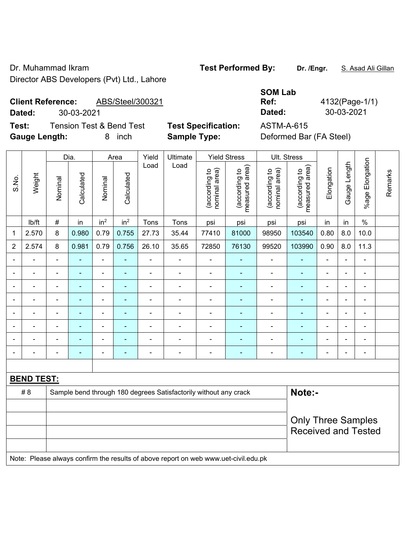Dr. Muhammad Ikram **Test Performed By:** Dr. /Engr. **S. Asad Ali Gillan** Director ABS Developers (Pvt) Ltd., Lahore

## **Client Reference:** ABS/Steel/300321

**Dated:** 30-03-2021 **Dated:** 30-03-2021

**Test:** Tension Test & Bend Test **Test Specification:** ASTM-A-615 **Gauge Length:** 8 inch **Sample Type:** Deformed Bar (FA Steel)

**SOM Lab Ref:** 4132(Page-1/1)

|        |                |                   |                          |                          |                |                |                                |                                 |                                                                  | Ult. Stress                     |                |                          |                          |                                                         |
|--------|----------------|-------------------|--------------------------|--------------------------|----------------|----------------|--------------------------------|---------------------------------|------------------------------------------------------------------|---------------------------------|----------------|--------------------------|--------------------------|---------------------------------------------------------|
| Weight | Nominal        | Calculated        | Nominal                  | Calculated               | Load           | Load           | nominal area)<br>(according to | measured area)<br>(according to | nominal area)<br>(according to                                   | measured area)<br>(according to | Elongation     | Gauge Length             | Elongation<br>$%$ age    | Remarks                                                 |
| lb/ft  | $\#$           | in                | in <sup>2</sup>          | in <sup>2</sup>          | Tons           | Tons           | psi                            | psi                             | psi                                                              | psi                             | in             | in                       | $\%$                     |                                                         |
| 2.570  | 8              | 0.980             | 0.79                     | 0.755                    | 27.73          | 35.44          | 77410                          | 81000                           | 98950                                                            | 103540                          | 0.80           | 8.0                      | 10.0                     |                                                         |
| 2.574  | 8              | 0.981             | 0.79                     | 0.756                    | 26.10          | 35.65          | 72850                          | 76130                           | 99520                                                            | 103990                          | 0.90           | 8.0                      | 11.3                     |                                                         |
|        | $\blacksquare$ | $\blacksquare$    | $\blacksquare$           | $\blacksquare$           | $\blacksquare$ |                |                                | $\blacksquare$                  | $\blacksquare$                                                   |                                 | $\blacksquare$ |                          | $\blacksquare$           |                                                         |
|        | $\blacksquare$ | ۰                 | $\overline{\phantom{0}}$ | $\overline{a}$           | $\blacksquare$ | $\blacksquare$ | $\qquad \qquad \blacksquare$   |                                 | ۰                                                                |                                 | $\blacksquare$ | $\blacksquare$           | $\overline{\phantom{a}}$ |                                                         |
|        | $\blacksquare$ | ۰                 | $\blacksquare$           | ÷                        | $\overline{a}$ |                | $\qquad \qquad \blacksquare$   |                                 | $\blacksquare$                                                   |                                 | $\blacksquare$ |                          | $\blacksquare$           |                                                         |
|        |                | ۰                 | $\blacksquare$           | $\blacksquare$           | $\blacksquare$ |                | $\blacksquare$                 | $\overline{\phantom{a}}$        | $\blacksquare$                                                   |                                 | Ē,             |                          | $\blacksquare$           |                                                         |
|        |                |                   | $\overline{\phantom{0}}$ | ٠                        | $\blacksquare$ |                | $\blacksquare$                 |                                 | ۰                                                                |                                 | ۰              |                          | $\overline{\phantom{a}}$ |                                                         |
|        | $\blacksquare$ |                   | $\blacksquare$           |                          | $\blacksquare$ |                |                                |                                 | ۰                                                                |                                 | Ē,             |                          | $\overline{\phantom{a}}$ |                                                         |
|        |                | $\blacksquare$    | $\blacksquare$           | $\overline{\phantom{a}}$ |                |                | $\blacksquare$                 |                                 | ÷                                                                |                                 | L.             |                          | $\blacksquare$           |                                                         |
|        | $\blacksquare$ | ۰                 | $\blacksquare$           | ۰                        | $\blacksquare$ | $\blacksquare$ | $\qquad \qquad \blacksquare$   | $\overline{\phantom{a}}$        | $\qquad \qquad \blacksquare$                                     | ٠                               | $\blacksquare$ | $\overline{\phantom{0}}$ | $\blacksquare$           |                                                         |
|        |                |                   |                          |                          |                |                |                                |                                 |                                                                  |                                 |                |                          |                          |                                                         |
|        |                |                   |                          |                          |                |                |                                |                                 |                                                                  |                                 |                |                          |                          |                                                         |
|        |                |                   |                          |                          |                |                |                                |                                 |                                                                  |                                 |                |                          |                          |                                                         |
|        |                |                   |                          |                          |                |                |                                |                                 |                                                                  |                                 |                |                          |                          |                                                         |
|        | # 8            | <b>BEND TEST:</b> |                          |                          |                |                |                                |                                 | Sample bend through 180 degrees Satisfactorily without any crack |                                 |                | Note:-                   |                          | <b>Only Three Samples</b><br><b>Received and Tested</b> |

Note: Please always confirm the results of above report on web www.uet-civil.edu.pk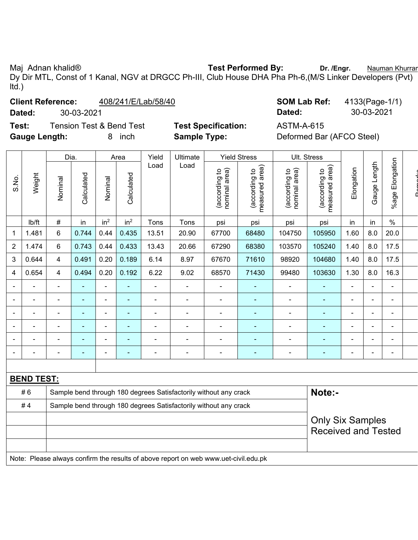Maj Adnan khalid® **Test Performed By:** Dr. /Engr. **Nauman Khurram** Numan And Dr. *I*Engr. **Nauman Khurram** Dy Dir MTL, Const of 1 Kanal, NGV at DRGCC Ph-III, Club House DHA Pha Ph-6,(M/S Linker Developers (Pvt) ltd.)

## **Client Reference:**  $408/241/E/Lab/58/40$

**Test:** Tension Test & Bend Test **Test Specification:** ASTM-A-615 Gauge Length: **8** inch **Sample Type:** 

| <b>Client Reference:</b> |            | 408/241/E/Lab/58/40 | <b>SOM Lab Ref:</b> | 4133(Page-1/1) |
|--------------------------|------------|---------------------|---------------------|----------------|
| Dated:                   | 30-03-2021 |                     | Dated:              | 30-03-2021     |

| Deformed Bar (AFCO Steel) |  |  |  |
|---------------------------|--|--|--|
|---------------------------|--|--|--|

|                |                                                                                     | Dia.                                                             |                |                          | Area                     | Yield<br>Ultimate |                                                                  |                                | <b>Yield Stress</b>             |                                | Ult. Stress                     |                |                          |                 |  |
|----------------|-------------------------------------------------------------------------------------|------------------------------------------------------------------|----------------|--------------------------|--------------------------|-------------------|------------------------------------------------------------------|--------------------------------|---------------------------------|--------------------------------|---------------------------------|----------------|--------------------------|-----------------|--|
| S.No.          | Weight                                                                              | Nominal                                                          | Calculated     | Nominal                  | Calculated               | Load              | Load                                                             | nominal area)<br>(according to | (according to<br>measured area) | nominal area)<br>(according to | (according to<br>measured area) | Elongation     | Gauge Length             | %age Elongation |  |
|                | lb/ft                                                                               | $\#$                                                             | in             | in <sup>2</sup>          | in <sup>2</sup>          | Tons              | Tons                                                             | psi                            | psi                             | psi                            | psi                             | in             | in                       | $\%$            |  |
| 1              | 1.481                                                                               | 6                                                                | 0.744          | 0.44                     | 0.435                    | 13.51             | 20.90                                                            | 67700                          | 68480                           | 104750                         | 105950                          | 1.60           | 8.0                      | 20.0            |  |
| $\overline{2}$ | 1.474                                                                               | 6                                                                | 0.743          | 0.44                     | 0.433                    | 13.43             | 20.66                                                            | 67290                          | 68380                           | 103570                         | 105240                          | 1.40           | 8.0                      | 17.5            |  |
| 3              | 0.644                                                                               | 4                                                                | 0.491          | 0.20                     | 0.189                    | 6.14              | 8.97                                                             | 67670                          | 71610                           | 98920                          | 104680                          | 1.40           | 8.0                      | 17.5            |  |
| 4              | 0.654                                                                               | 4                                                                | 0.494          | 0.20                     | 0.192                    | 6.22              | 9.02                                                             | 68570                          | 71430                           | 99480                          | 103630                          | 1.30           | 8.0                      | 16.3            |  |
|                |                                                                                     | ÷,                                                               | $\blacksquare$ | $\overline{\phantom{a}}$ | ÷,                       | ÷,                | $\overline{\phantom{a}}$                                         | $\overline{\phantom{a}}$       | ä,                              | $\blacksquare$                 | $\blacksquare$                  | $\blacksquare$ | $\blacksquare$           | $\blacksquare$  |  |
|                |                                                                                     | ÷                                                                |                | $\blacksquare$           | ä,                       | ä,                | $\blacksquare$                                                   | $\blacksquare$                 | $\blacksquare$                  | ä,                             | $\blacksquare$                  | ä,             | L,                       |                 |  |
|                |                                                                                     | $\blacksquare$                                                   |                | $\blacksquare$           | $\blacksquare$           | ä,                | $\blacksquare$                                                   | $\blacksquare$                 | $\blacksquare$                  | Ē,                             | $\blacksquare$                  | $\blacksquare$ | $\blacksquare$           |                 |  |
| $\blacksquare$ | $\overline{\phantom{0}}$                                                            | ÷.                                                               | $\blacksquare$ | $\blacksquare$           | ä,                       | ÷.                | $\blacksquare$                                                   | $\blacksquare$                 | $\blacksquare$                  | $\blacksquare$                 | $\blacksquare$                  | $\blacksquare$ | $\blacksquare$           |                 |  |
|                |                                                                                     | Ē,                                                               | ä,             | $\blacksquare$           | ÷,                       | ä,                | $\blacksquare$                                                   | $\blacksquare$                 | L,                              | $\blacksquare$                 | $\blacksquare$                  | Ē,             | $\overline{\phantom{a}}$ | $\blacksquare$  |  |
|                |                                                                                     | ÷                                                                | ۰              | $\overline{a}$           | $\overline{\phantom{0}}$ | ÷                 | $\overline{a}$                                                   | $\blacksquare$                 | ä,                              | $\blacksquare$                 | $\blacksquare$                  | $\overline{a}$ | $\blacksquare$           | $\blacksquare$  |  |
|                |                                                                                     |                                                                  |                |                          |                          |                   |                                                                  |                                |                                 |                                |                                 |                |                          |                 |  |
|                | <b>BEND TEST:</b>                                                                   |                                                                  |                |                          |                          |                   |                                                                  |                                |                                 |                                |                                 |                |                          |                 |  |
|                | #6                                                                                  |                                                                  |                |                          |                          |                   | Sample bend through 180 degrees Satisfactorily without any crack |                                |                                 |                                | Note:-                          |                |                          |                 |  |
|                | #4                                                                                  | Sample bend through 180 degrees Satisfactorily without any crack |                |                          |                          |                   |                                                                  |                                |                                 |                                |                                 |                |                          |                 |  |
|                |                                                                                     |                                                                  |                |                          |                          |                   |                                                                  |                                |                                 |                                | <b>Only Six Samples</b>         |                |                          |                 |  |
|                |                                                                                     |                                                                  |                |                          |                          |                   |                                                                  |                                |                                 |                                | <b>Received and Tested</b>      |                |                          |                 |  |
|                |                                                                                     |                                                                  |                |                          |                          |                   |                                                                  |                                |                                 |                                |                                 |                |                          |                 |  |
|                | Note: Please always confirm the results of above report on web www.uet-civil.edu.pk |                                                                  |                |                          |                          |                   |                                                                  |                                |                                 |                                |                                 |                |                          |                 |  |